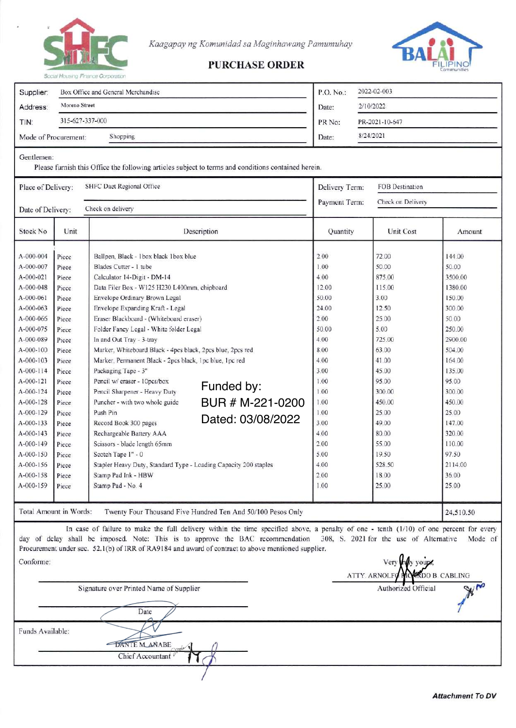

Kaagapay ng Komunidad sa Maginhawang Pamumuhay



## **PURCHASE ORDER**

| Supplier:              | Box Office and General Merchandise<br>Moreno Street<br>315-627-337-000 |                                                                  |                                                                                                                                                                                                                                                                                                                                  | 2022-02-003<br>P.O. No.: |                                         |           |
|------------------------|------------------------------------------------------------------------|------------------------------------------------------------------|----------------------------------------------------------------------------------------------------------------------------------------------------------------------------------------------------------------------------------------------------------------------------------------------------------------------------------|--------------------------|-----------------------------------------|-----------|
| Address:               |                                                                        |                                                                  |                                                                                                                                                                                                                                                                                                                                  | Date:                    | 2/10/2022<br>PR-2021-10-647             |           |
| TIN:                   |                                                                        |                                                                  |                                                                                                                                                                                                                                                                                                                                  | PR No:                   |                                         |           |
|                        |                                                                        |                                                                  |                                                                                                                                                                                                                                                                                                                                  |                          |                                         |           |
| Mode of Procurement:   |                                                                        | Shopping                                                         |                                                                                                                                                                                                                                                                                                                                  | 8/24/2021<br>Date:       |                                         |           |
| Gentlemen:             |                                                                        |                                                                  | Please furnish this Office the following articles subject to terms and conditions contained herein.                                                                                                                                                                                                                              |                          |                                         |           |
| Place of Delivery:     |                                                                        | SHFC Daet Regional Office                                        | Delivery Term:                                                                                                                                                                                                                                                                                                                   | FOB Destination          |                                         |           |
| Date of Delivery:      |                                                                        | Check on delivery                                                | Check on Delivery<br>Payment Term:                                                                                                                                                                                                                                                                                               |                          |                                         |           |
| Stock No.              | Unit                                                                   |                                                                  | Description                                                                                                                                                                                                                                                                                                                      | Quantity                 | Unit Cost                               | Amount    |
| A-000-004              | Piece                                                                  | Ballpen, Black - 1box black 1box blue                            |                                                                                                                                                                                                                                                                                                                                  | 2.00                     | 72.00                                   | 144.00    |
| A-000-007              | Piece                                                                  | Blades Cutter - 1 tube                                           |                                                                                                                                                                                                                                                                                                                                  |                          | 50.00                                   | 50.00     |
| A-000-021              | Piece                                                                  | Calculator 14-Digit - DM-14                                      |                                                                                                                                                                                                                                                                                                                                  |                          | 875.00                                  | 3500.00   |
| A-000-048              | Piece                                                                  | Data Filer Box - W125 H230 L400mm, chipboard                     |                                                                                                                                                                                                                                                                                                                                  | 12.00                    | 115.00                                  | 1380.00   |
| A-000-061              | Piece                                                                  | Envelope Ordinary Brown Legal                                    |                                                                                                                                                                                                                                                                                                                                  | 50.00                    | 3.00                                    | 150.00    |
| A-000-063              | Piece                                                                  | Envelope Expanding Kraft - Legal                                 |                                                                                                                                                                                                                                                                                                                                  | 24.00                    | 12.50                                   | 300.00    |
| A-000-066              | Piece                                                                  | Eraser Blackboard - (Whiteboard eraser)                          |                                                                                                                                                                                                                                                                                                                                  | 2.00                     | 25.00                                   | 50.00     |
| A-000-075              | Piece                                                                  | Folder Fancy Legal - White folder Legal                          |                                                                                                                                                                                                                                                                                                                                  | 50.00                    | 5.00                                    | 250.00    |
| A-000-089              | Piece                                                                  | In and Out Tray - 3-tray                                         |                                                                                                                                                                                                                                                                                                                                  | 4.00                     | 725.00                                  | 2900.00   |
| A-000-100              | Piece                                                                  | Marker, Whiteboard Black - 4pcs black, 2pcs blue, 2pcs red       |                                                                                                                                                                                                                                                                                                                                  | 8.00                     | 63.00                                   | 504.00    |
| A-000-103              | Piece                                                                  | Marker, Permanent Black - 2pcs black, 1pc blue, 1pc red          |                                                                                                                                                                                                                                                                                                                                  | 4.00                     | 41.00                                   | 164.00    |
| A-000-114              | Piece                                                                  | Packaging Tape - 3"                                              |                                                                                                                                                                                                                                                                                                                                  | 3.00                     | 45.00                                   | 135.00    |
| A-000-121              | Piece                                                                  | Pencil w/ eraser - 10pcs/box                                     |                                                                                                                                                                                                                                                                                                                                  | 1.00                     | 95.00                                   | 95.00     |
| A-000-124              | Piece                                                                  | Pencil Sharpener - Heavy Duty                                    | Funded by:                                                                                                                                                                                                                                                                                                                       | 1.00                     | 300.00                                  | 300.00    |
| A-000-128              | Piece                                                                  | Puncher - with two whole guide                                   | BUR # M-221-0200                                                                                                                                                                                                                                                                                                                 | 1.00                     | 450.00                                  | 450.00    |
| A-000-129              | Piece                                                                  | Push Pin                                                         |                                                                                                                                                                                                                                                                                                                                  | 1.00                     | 25.00                                   | 25.00     |
| A-000-133              | Piece                                                                  | Record Book 300 pages                                            | Dated: 03/08/2022                                                                                                                                                                                                                                                                                                                | 3.00                     | 49.00                                   | 147.00    |
| $A - 000 - 143$        | Piece                                                                  | Rechargeable Battery AAA                                         |                                                                                                                                                                                                                                                                                                                                  | 4.00                     | 80.00                                   | 320.00    |
| A-000-149              | Piece                                                                  | Scissors - blade length 65mm                                     |                                                                                                                                                                                                                                                                                                                                  | 2.00                     | 55.00                                   | 110.00    |
| A-000-150              | Piece                                                                  | Scotch Tape 1" - 0                                               |                                                                                                                                                                                                                                                                                                                                  | 5.00                     | 19.50                                   | 97.50     |
| A-000-156              | Piece                                                                  | Stapler Heavy Duty, Standard Type - Loading Capacity 200 staples |                                                                                                                                                                                                                                                                                                                                  | 4.00                     | 528.50                                  | 2114.00   |
| A-000-158              | Piece                                                                  | Stamp Pad Ink - HBW                                              |                                                                                                                                                                                                                                                                                                                                  | 2.00                     | 18.00                                   | 36.00     |
| A-000-159              | Piece                                                                  | Stamp Pad - No. 4                                                | 1.00                                                                                                                                                                                                                                                                                                                             | 25.00                    | 25.00                                   |           |
| Total Amount in Words: |                                                                        |                                                                  | Twenty Four Thousand Five Hundred Ten And 50/100 Pesos Only                                                                                                                                                                                                                                                                      |                          |                                         | 24,510.50 |
|                        |                                                                        |                                                                  | In case of failure to make the full delivery within the time specified above, a penalty of one - tenth $(1/10)$ of one percent for every<br>day of delay shall be imposed. Note: This is to approve the BAC recommendation<br>Procurement under sec. 52.1(b) of IRR of RA9184 and award of contract to above mentioned supplier. |                          | 308, S. 2021 for the use of Alternative | Mode of   |

Conforme: Very vours. **ATTY. ARNOLFO DO B. CABLING** Signature over Printed Name of Supplier Authorized Official Date Funds Available: DANTE MANABE Chief Accountant

**PO**